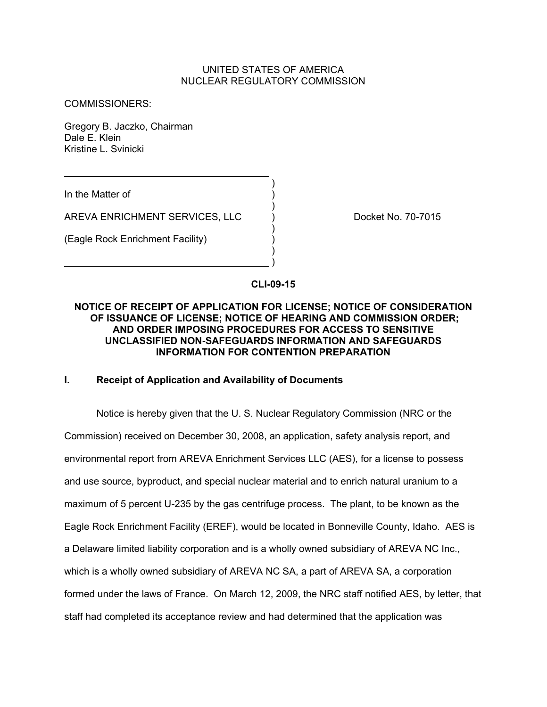# UNITED STATES OF AMERICA NUCLEAR REGULATORY COMMISSION

COMMISSIONERS:

Gregory B. Jaczko, Chairman Dale E. Klein Kristine L. Svinicki

 $)$ In the Matter of )

AREVA ENRICHMENT SERVICES, LLC ) Docket No. 70-7015

) and the contract of  $\mathcal{L}$ 

) and the contract of  $\mathcal{L}$ 

) and the contract of  $\mathcal{L}$ 

(Eagle Rock Enrichment Facility) )

**CLI-09-15** 

 $\lambda$ 

# **NOTICE OF RECEIPT OF APPLICATION FOR LICENSE; NOTICE OF CONSIDERATION OF ISSUANCE OF LICENSE; NOTICE OF HEARING AND COMMISSION ORDER; AND ORDER IMPOSING PROCEDURES FOR ACCESS TO SENSITIVE UNCLASSIFIED NON-SAFEGUARDS INFORMATION AND SAFEGUARDS INFORMATION FOR CONTENTION PREPARATION**

## **I. Receipt of Application and Availability of Documents**

Notice is hereby given that the U. S. Nuclear Regulatory Commission (NRC or the Commission) received on December 30, 2008, an application, safety analysis report, and environmental report from AREVA Enrichment Services LLC (AES), for a license to possess and use source, byproduct, and special nuclear material and to enrich natural uranium to a maximum of 5 percent U-235 by the gas centrifuge process. The plant, to be known as the Eagle Rock Enrichment Facility (EREF), would be located in Bonneville County, Idaho. AES is a Delaware limited liability corporation and is a wholly owned subsidiary of AREVA NC Inc., which is a wholly owned subsidiary of AREVA NC SA, a part of AREVA SA, a corporation formed under the laws of France. On March 12, 2009, the NRC staff notified AES, by letter, that staff had completed its acceptance review and had determined that the application was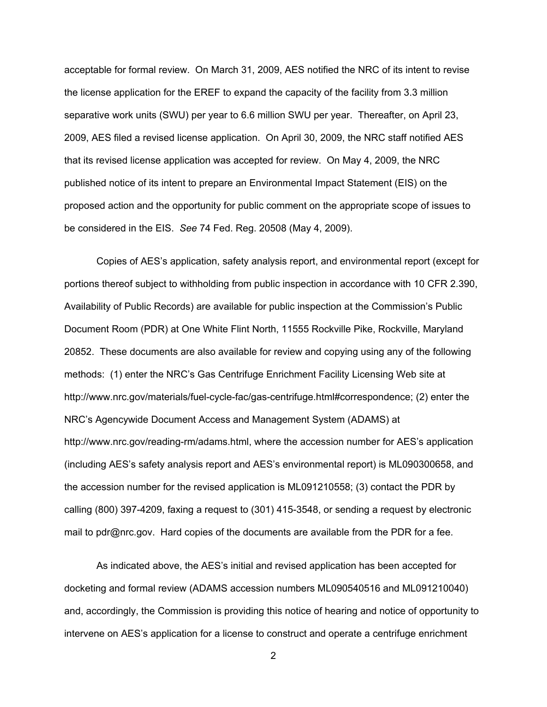acceptable for formal review. On March 31, 2009, AES notified the NRC of its intent to revise the license application for the EREF to expand the capacity of the facility from 3.3 million separative work units (SWU) per year to 6.6 million SWU per year. Thereafter, on April 23, 2009, AES filed a revised license application. On April 30, 2009, the NRC staff notified AES that its revised license application was accepted for review. On May 4, 2009, the NRC published notice of its intent to prepare an Environmental Impact Statement (EIS) on the proposed action and the opportunity for public comment on the appropriate scope of issues to be considered in the EIS. *See* 74 Fed. Reg. 20508 (May 4, 2009).

Copies of AES's application, safety analysis report, and environmental report (except for portions thereof subject to withholding from public inspection in accordance with 10 CFR 2.390, Availability of Public Records) are available for public inspection at the Commission's Public Document Room (PDR) at One White Flint North, 11555 Rockville Pike, Rockville, Maryland 20852. These documents are also available for review and copying using any of the following methods: (1) enter the NRC's Gas Centrifuge Enrichment Facility Licensing Web site at http://www.nrc.gov/materials/fuel-cycle-fac/gas-centrifuge.html#correspondence; (2) enter the NRC's Agencywide Document Access and Management System (ADAMS) at http://www.nrc.gov/reading-rm/adams.html, where the accession number for AES's application (including AES's safety analysis report and AES's environmental report) is ML090300658, and the accession number for the revised application is ML091210558; (3) contact the PDR by calling (800) 397-4209, faxing a request to (301) 415-3548, or sending a request by electronic mail to pdr@nrc.gov. Hard copies of the documents are available from the PDR for a fee.

As indicated above, the AES's initial and revised application has been accepted for docketing and formal review (ADAMS accession numbers ML090540516 and ML091210040) and, accordingly, the Commission is providing this notice of hearing and notice of opportunity to intervene on AES's application for a license to construct and operate a centrifuge enrichment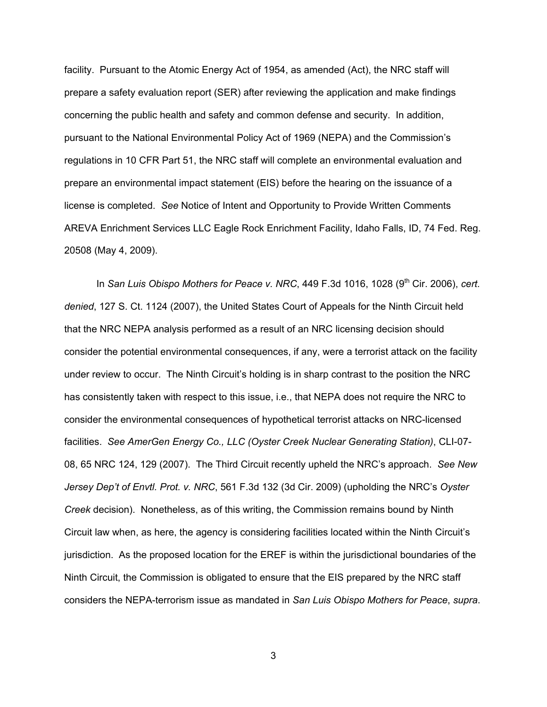facility. Pursuant to the Atomic Energy Act of 1954, as amended (Act), the NRC staff will prepare a safety evaluation report (SER) after reviewing the application and make findings concerning the public health and safety and common defense and security. In addition, pursuant to the National Environmental Policy Act of 1969 (NEPA) and the Commission's regulations in 10 CFR Part 51, the NRC staff will complete an environmental evaluation and prepare an environmental impact statement (EIS) before the hearing on the issuance of a license is completed. *See* Notice of Intent and Opportunity to Provide Written Comments AREVA Enrichment Services LLC Eagle Rock Enrichment Facility, Idaho Falls, ID, 74 Fed. Reg. 20508 (May 4, 2009).

In *San Luis Obispo Mothers for Peace v. NRC*, 449 F.3d 1016, 1028 (9<sup>th</sup> Cir. 2006), *cert. denied*, 127 S. Ct. 1124 (2007), the United States Court of Appeals for the Ninth Circuit held that the NRC NEPA analysis performed as a result of an NRC licensing decision should consider the potential environmental consequences, if any, were a terrorist attack on the facility under review to occur. The Ninth Circuit's holding is in sharp contrast to the position the NRC has consistently taken with respect to this issue, i.e., that NEPA does not require the NRC to consider the environmental consequences of hypothetical terrorist attacks on NRC-licensed facilities. *See AmerGen Energy Co., LLC (Oyster Creek Nuclear Generating Station)*, CLI-07- 08, 65 NRC 124, 129 (2007). The Third Circuit recently upheld the NRC's approach. *See New Jersey Dep't of Envtl. Prot. v. NRC*, 561 F.3d 132 (3d Cir. 2009) (upholding the NRC's *Oyster Creek* decision). Nonetheless, as of this writing, the Commission remains bound by Ninth Circuit law when, as here, the agency is considering facilities located within the Ninth Circuit's jurisdiction. As the proposed location for the EREF is within the jurisdictional boundaries of the Ninth Circuit, the Commission is obligated to ensure that the EIS prepared by the NRC staff considers the NEPA-terrorism issue as mandated in *San Luis Obispo Mothers for Peace*, *supra*.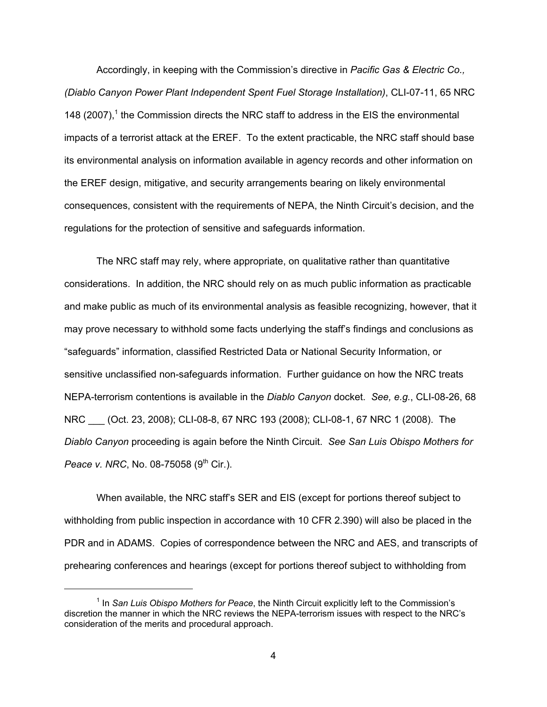Accordingly, in keeping with the Commission's directive in *Pacific Gas & Electric Co., (Diablo Canyon Power Plant Independent Spent Fuel Storage Installation)*, CLI-07-11, 65 NRC 148  $(2007)$ ,<sup>1</sup> the Commission directs the NRC staff to address in the EIS the environmental impacts of a terrorist attack at the EREF. To the extent practicable, the NRC staff should base its environmental analysis on information available in agency records and other information on the EREF design, mitigative, and security arrangements bearing on likely environmental consequences, consistent with the requirements of NEPA, the Ninth Circuit's decision, and the regulations for the protection of sensitive and safeguards information.

The NRC staff may rely, where appropriate, on qualitative rather than quantitative considerations. In addition, the NRC should rely on as much public information as practicable and make public as much of its environmental analysis as feasible recognizing, however, that it may prove necessary to withhold some facts underlying the staff's findings and conclusions as "safeguards" information, classified Restricted Data or National Security Information, or sensitive unclassified non-safeguards information. Further guidance on how the NRC treats NEPA-terrorism contentions is available in the *Diablo Canyon* docket. *See, e.g.*, CLI-08-26, 68 NRC \_\_\_ (Oct. 23, 2008); CLI-08-8, 67 NRC 193 (2008); CLI-08-1, 67 NRC 1 (2008). The *Diablo Canyon* proceeding is again before the Ninth Circuit. *See San Luis Obispo Mothers for Peace v. NRC*, No. 08-75058 (9<sup>th</sup> Cir.).

When available, the NRC staff's SER and EIS (except for portions thereof subject to withholding from public inspection in accordance with 10 CFR 2.390) will also be placed in the PDR and in ADAMS. Copies of correspondence between the NRC and AES, and transcripts of prehearing conferences and hearings (except for portions thereof subject to withholding from

<sup>&</sup>lt;sup>1</sup> In *San Luis Obispo Mothers for Peace*, the Ninth Circuit explicitly left to the Commission's discretion the manner in which the NRC reviews the NEPA-terrorism issues with respect to the NRC's consideration of the merits and procedural approach.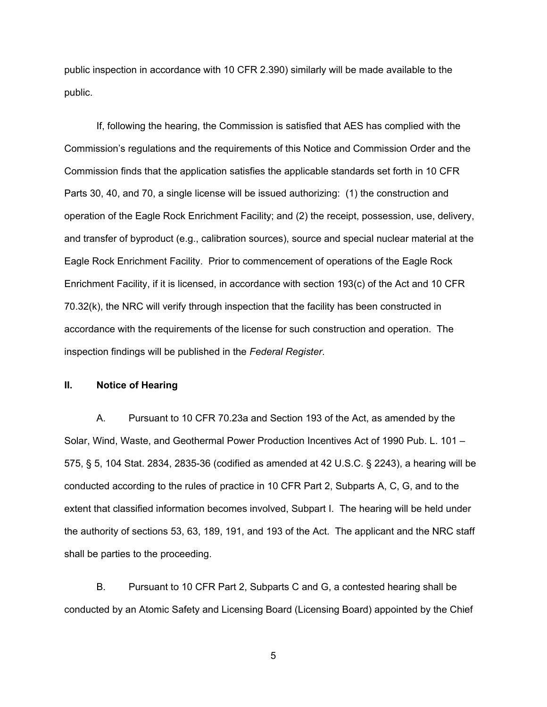public inspection in accordance with 10 CFR 2.390) similarly will be made available to the public.

If, following the hearing, the Commission is satisfied that AES has complied with the Commission's regulations and the requirements of this Notice and Commission Order and the Commission finds that the application satisfies the applicable standards set forth in 10 CFR Parts 30, 40, and 70, a single license will be issued authorizing: (1) the construction and operation of the Eagle Rock Enrichment Facility; and (2) the receipt, possession, use, delivery, and transfer of byproduct (e.g., calibration sources), source and special nuclear material at the Eagle Rock Enrichment Facility. Prior to commencement of operations of the Eagle Rock Enrichment Facility, if it is licensed, in accordance with section 193(c) of the Act and 10 CFR 70.32(k), the NRC will verify through inspection that the facility has been constructed in accordance with the requirements of the license for such construction and operation. The inspection findings will be published in the *Federal Register*.

# **II. Notice of Hearing**

A. Pursuant to 10 CFR 70.23a and Section 193 of the Act, as amended by the Solar, Wind, Waste, and Geothermal Power Production Incentives Act of 1990 Pub. L. 101 – 575, § 5, 104 Stat. 2834, 2835-36 (codified as amended at 42 U.S.C. § 2243), a hearing will be conducted according to the rules of practice in 10 CFR Part 2, Subparts A, C, G, and to the extent that classified information becomes involved, Subpart I. The hearing will be held under the authority of sections 53, 63, 189, 191, and 193 of the Act. The applicant and the NRC staff shall be parties to the proceeding.

B. Pursuant to 10 CFR Part 2, Subparts C and G, a contested hearing shall be conducted by an Atomic Safety and Licensing Board (Licensing Board) appointed by the Chief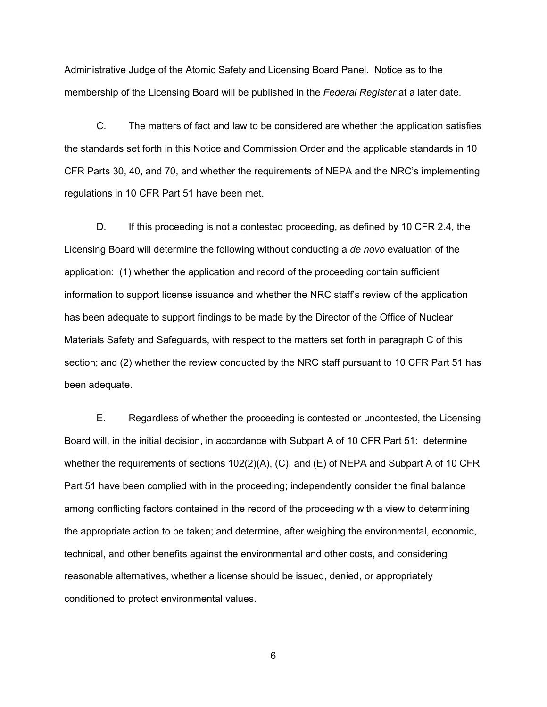Administrative Judge of the Atomic Safety and Licensing Board Panel. Notice as to the membership of the Licensing Board will be published in the *Federal Register* at a later date.

C. The matters of fact and law to be considered are whether the application satisfies the standards set forth in this Notice and Commission Order and the applicable standards in 10 CFR Parts 30, 40, and 70, and whether the requirements of NEPA and the NRC's implementing regulations in 10 CFR Part 51 have been met.

D. If this proceeding is not a contested proceeding, as defined by 10 CFR 2.4, the Licensing Board will determine the following without conducting a *de novo* evaluation of the application: (1) whether the application and record of the proceeding contain sufficient information to support license issuance and whether the NRC staff's review of the application has been adequate to support findings to be made by the Director of the Office of Nuclear Materials Safety and Safeguards, with respect to the matters set forth in paragraph C of this section; and (2) whether the review conducted by the NRC staff pursuant to 10 CFR Part 51 has been adequate.

E. Regardless of whether the proceeding is contested or uncontested, the Licensing Board will, in the initial decision, in accordance with Subpart A of 10 CFR Part 51: determine whether the requirements of sections 102(2)(A), (C), and (E) of NEPA and Subpart A of 10 CFR Part 51 have been complied with in the proceeding; independently consider the final balance among conflicting factors contained in the record of the proceeding with a view to determining the appropriate action to be taken; and determine, after weighing the environmental, economic, technical, and other benefits against the environmental and other costs, and considering reasonable alternatives, whether a license should be issued, denied, or appropriately conditioned to protect environmental values.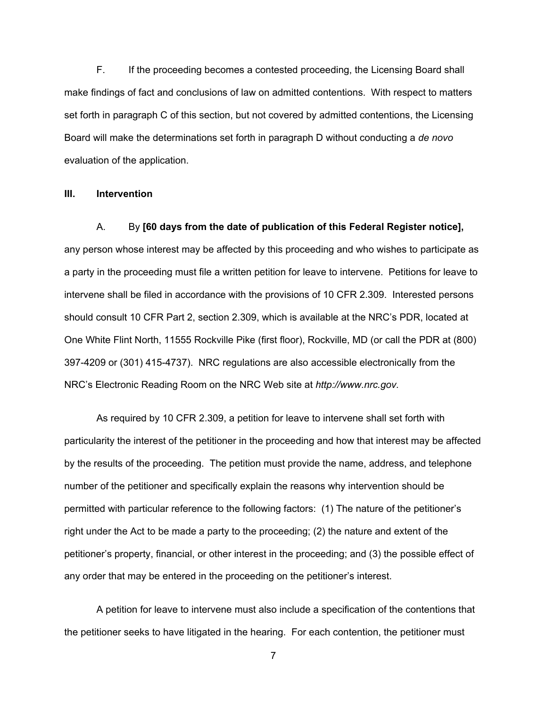F. If the proceeding becomes a contested proceeding, the Licensing Board shall make findings of fact and conclusions of law on admitted contentions. With respect to matters set forth in paragraph C of this section, but not covered by admitted contentions, the Licensing Board will make the determinations set forth in paragraph D without conducting a *de novo* evaluation of the application.

#### **III. Intervention**

## A. By **[60 days from the date of publication of this Federal Register notice],**

any person whose interest may be affected by this proceeding and who wishes to participate as a party in the proceeding must file a written petition for leave to intervene. Petitions for leave to intervene shall be filed in accordance with the provisions of 10 CFR 2.309. Interested persons should consult 10 CFR Part 2, section 2.309, which is available at the NRC's PDR, located at One White Flint North, 11555 Rockville Pike (first floor), Rockville, MD (or call the PDR at (800) 397-4209 or (301) 415-4737). NRC regulations are also accessible electronically from the NRC's Electronic Reading Room on the NRC Web site at *http://www.nrc.gov.*

As required by 10 CFR 2.309, a petition for leave to intervene shall set forth with particularity the interest of the petitioner in the proceeding and how that interest may be affected by the results of the proceeding. The petition must provide the name, address, and telephone number of the petitioner and specifically explain the reasons why intervention should be permitted with particular reference to the following factors: (1) The nature of the petitioner's right under the Act to be made a party to the proceeding; (2) the nature and extent of the petitioner's property, financial, or other interest in the proceeding; and (3) the possible effect of any order that may be entered in the proceeding on the petitioner's interest.

A petition for leave to intervene must also include a specification of the contentions that the petitioner seeks to have litigated in the hearing. For each contention, the petitioner must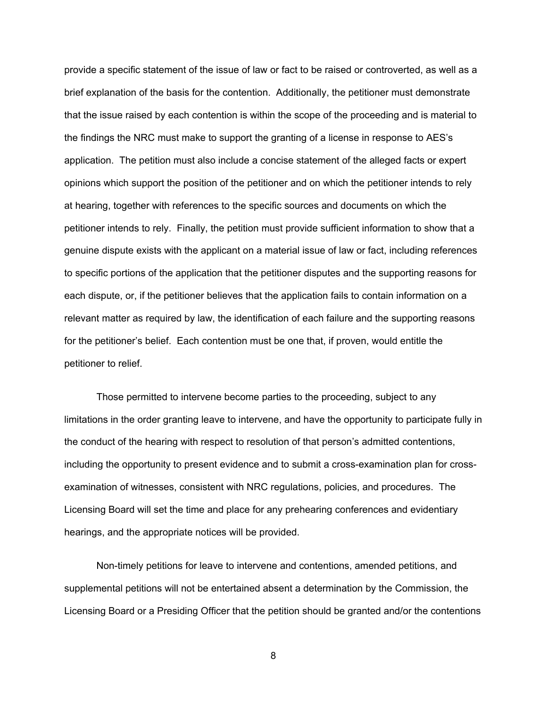provide a specific statement of the issue of law or fact to be raised or controverted, as well as a brief explanation of the basis for the contention. Additionally, the petitioner must demonstrate that the issue raised by each contention is within the scope of the proceeding and is material to the findings the NRC must make to support the granting of a license in response to AES's application. The petition must also include a concise statement of the alleged facts or expert opinions which support the position of the petitioner and on which the petitioner intends to rely at hearing, together with references to the specific sources and documents on which the petitioner intends to rely. Finally, the petition must provide sufficient information to show that a genuine dispute exists with the applicant on a material issue of law or fact, including references to specific portions of the application that the petitioner disputes and the supporting reasons for each dispute, or, if the petitioner believes that the application fails to contain information on a relevant matter as required by law, the identification of each failure and the supporting reasons for the petitioner's belief. Each contention must be one that, if proven, would entitle the petitioner to relief.

Those permitted to intervene become parties to the proceeding, subject to any limitations in the order granting leave to intervene, and have the opportunity to participate fully in the conduct of the hearing with respect to resolution of that person's admitted contentions, including the opportunity to present evidence and to submit a cross-examination plan for crossexamination of witnesses, consistent with NRC regulations, policies, and procedures. The Licensing Board will set the time and place for any prehearing conferences and evidentiary hearings, and the appropriate notices will be provided.

Non-timely petitions for leave to intervene and contentions, amended petitions, and supplemental petitions will not be entertained absent a determination by the Commission, the Licensing Board or a Presiding Officer that the petition should be granted and/or the contentions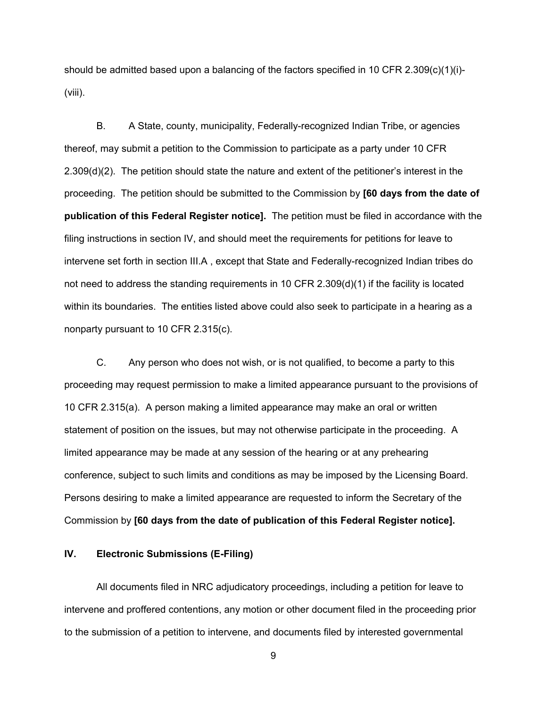should be admitted based upon a balancing of the factors specified in 10 CFR 2.309(c)(1)(i)-(viii).

B. A State, county, municipality, Federally-recognized Indian Tribe, or agencies thereof, may submit a petition to the Commission to participate as a party under 10 CFR 2.309(d)(2). The petition should state the nature and extent of the petitioner's interest in the proceeding. The petition should be submitted to the Commission by **[60 days from the date of publication of this Federal Register notice].** The petition must be filed in accordance with the filing instructions in section IV, and should meet the requirements for petitions for leave to intervene set forth in section III.A , except that State and Federally-recognized Indian tribes do not need to address the standing requirements in 10 CFR 2.309(d)(1) if the facility is located within its boundaries. The entities listed above could also seek to participate in a hearing as a nonparty pursuant to 10 CFR 2.315(c).

C. Any person who does not wish, or is not qualified, to become a party to this proceeding may request permission to make a limited appearance pursuant to the provisions of 10 CFR 2.315(a). A person making a limited appearance may make an oral or written statement of position on the issues, but may not otherwise participate in the proceeding. A limited appearance may be made at any session of the hearing or at any prehearing conference, subject to such limits and conditions as may be imposed by the Licensing Board. Persons desiring to make a limited appearance are requested to inform the Secretary of the Commission by **[60 days from the date of publication of this Federal Register notice].**

# **IV. Electronic Submissions (E-Filing)**

All documents filed in NRC adjudicatory proceedings, including a petition for leave to intervene and proffered contentions, any motion or other document filed in the proceeding prior to the submission of a petition to intervene, and documents filed by interested governmental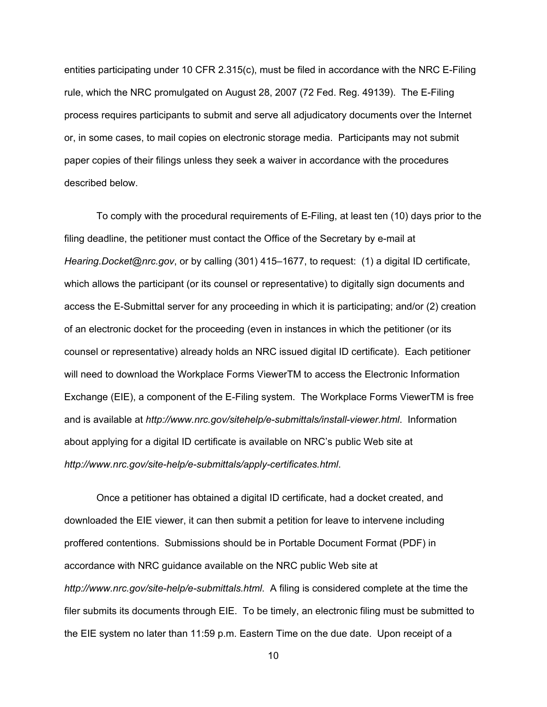entities participating under 10 CFR 2.315(c), must be filed in accordance with the NRC E-Filing rule, which the NRC promulgated on August 28, 2007 (72 Fed. Reg. 49139). The E-Filing process requires participants to submit and serve all adjudicatory documents over the Internet or, in some cases, to mail copies on electronic storage media. Participants may not submit paper copies of their filings unless they seek a waiver in accordance with the procedures described below.

To comply with the procedural requirements of E-Filing, at least ten (10) days prior to the filing deadline, the petitioner must contact the Office of the Secretary by e-mail at *Hearing.Docket@nrc.gov*, or by calling (301) 415–1677, to request: (1) a digital ID certificate, which allows the participant (or its counsel or representative) to digitally sign documents and access the E-Submittal server for any proceeding in which it is participating; and/or (2) creation of an electronic docket for the proceeding (even in instances in which the petitioner (or its counsel or representative) already holds an NRC issued digital ID certificate). Each petitioner will need to download the Workplace Forms ViewerTM to access the Electronic Information Exchange (EIE), a component of the E-Filing system. The Workplace Forms ViewerTM is free and is available at *http://www.nrc.gov/sitehelp/e-submittals/install-viewer.html*. Information about applying for a digital ID certificate is available on NRC's public Web site at *http://www.nrc.gov/site-help/e-submittals/apply-certificates.html*.

Once a petitioner has obtained a digital ID certificate, had a docket created, and downloaded the EIE viewer, it can then submit a petition for leave to intervene including proffered contentions. Submissions should be in Portable Document Format (PDF) in accordance with NRC guidance available on the NRC public Web site at *http://www.nrc.gov/site-help/e-submittals.html*. A filing is considered complete at the time the filer submits its documents through EIE. To be timely, an electronic filing must be submitted to the EIE system no later than 11:59 p.m. Eastern Time on the due date. Upon receipt of a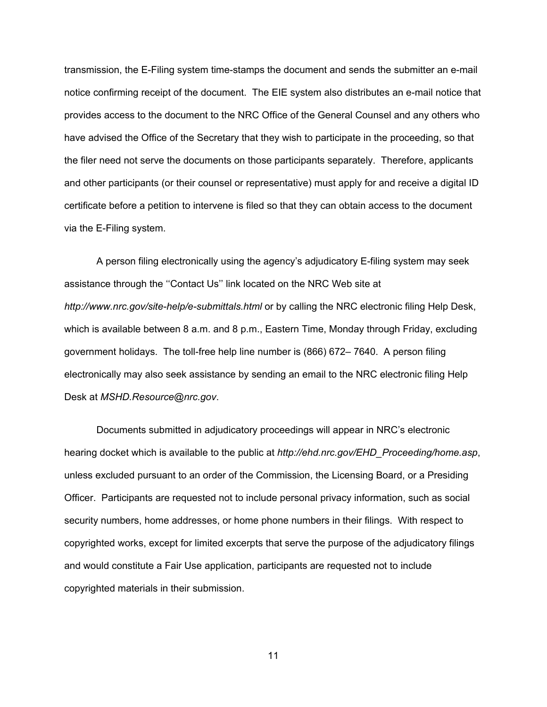transmission, the E-Filing system time-stamps the document and sends the submitter an e-mail notice confirming receipt of the document. The EIE system also distributes an e-mail notice that provides access to the document to the NRC Office of the General Counsel and any others who have advised the Office of the Secretary that they wish to participate in the proceeding, so that the filer need not serve the documents on those participants separately. Therefore, applicants and other participants (or their counsel or representative) must apply for and receive a digital ID certificate before a petition to intervene is filed so that they can obtain access to the document via the E-Filing system.

A person filing electronically using the agency's adjudicatory E-filing system may seek assistance through the ''Contact Us'' link located on the NRC Web site at *http://www.nrc.gov/site-help/e-submittals.html* or by calling the NRC electronic filing Help Desk, which is available between 8 a.m. and 8 p.m., Eastern Time, Monday through Friday, excluding government holidays. The toll-free help line number is (866) 672– 7640. A person filing electronically may also seek assistance by sending an email to the NRC electronic filing Help Desk at *MSHD.Resource@nrc.gov*.

Documents submitted in adjudicatory proceedings will appear in NRC's electronic hearing docket which is available to the public at *http://ehd.nrc.gov/EHD\_Proceeding/home.asp*, unless excluded pursuant to an order of the Commission, the Licensing Board, or a Presiding Officer. Participants are requested not to include personal privacy information, such as social security numbers, home addresses, or home phone numbers in their filings. With respect to copyrighted works, except for limited excerpts that serve the purpose of the adjudicatory filings and would constitute a Fair Use application, participants are requested not to include copyrighted materials in their submission.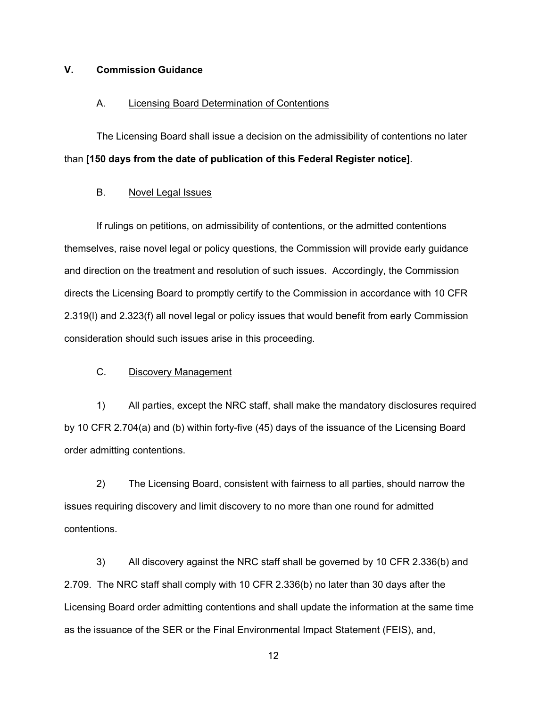# **V. Commission Guidance**

#### A. Licensing Board Determination of Contentions

The Licensing Board shall issue a decision on the admissibility of contentions no later than **[150 days from the date of publication of this Federal Register notice]**.

## B. Novel Legal Issues

If rulings on petitions, on admissibility of contentions, or the admitted contentions themselves, raise novel legal or policy questions, the Commission will provide early guidance and direction on the treatment and resolution of such issues. Accordingly, the Commission directs the Licensing Board to promptly certify to the Commission in accordance with 10 CFR 2.319(l) and 2.323(f) all novel legal or policy issues that would benefit from early Commission consideration should such issues arise in this proceeding.

#### C. Discovery Management

1) All parties, except the NRC staff, shall make the mandatory disclosures required by 10 CFR 2.704(a) and (b) within forty-five (45) days of the issuance of the Licensing Board order admitting contentions.

2) The Licensing Board, consistent with fairness to all parties, should narrow the issues requiring discovery and limit discovery to no more than one round for admitted contentions.

3) All discovery against the NRC staff shall be governed by 10 CFR 2.336(b) and 2.709. The NRC staff shall comply with 10 CFR 2.336(b) no later than 30 days after the Licensing Board order admitting contentions and shall update the information at the same time as the issuance of the SER or the Final Environmental Impact Statement (FEIS), and,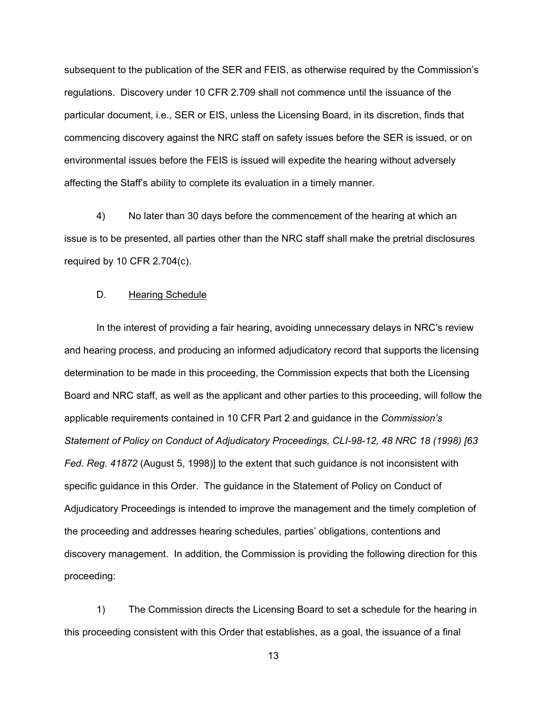subsequent to the publication of the SER and FEIS, as otherwise required by the Commission's regulations. Discovery under 10 CFR 2.709 shall not commence until the issuance of the particular document, i.e., SER or EIS, unless the Licensing Board, in its discretion, finds that commencing discovery against the NRC staff on safety issues before the SER is issued, or on environmental issues before the FEIS is issued will expedite the hearing without adversely affecting the Staff's ability to complete its evaluation in a timely manner.

4) No later than 30 days before the commencement of the hearing at which an issue is to be presented, all parties other than the NRC staff shall make the pretrial disclosures required by 10 CFR 2.704(c).

## D. Hearing Schedule

In the interest of providing a fair hearing, avoiding unnecessary delays in NRC's review and hearing process, and producing an informed adjudicatory record that supports the licensing determination to be made in this proceeding, the Commission expects that both the Licensing Board and NRC staff, as well as the applicant and other parties to this proceeding, will follow the applicable requirements contained in 10 CFR Part 2 and guidance in the *Commission's Statement of Policy on Conduct of Adjudicatory Proceedings, CLI-98-12, 48 NRC 18 (1998) [63 Fed. Reg. 41872* (August 5, 1998)] to the extent that such guidance is not inconsistent with specific guidance in this Order. The guidance in the Statement of Policy on Conduct of Adjudicatory Proceedings is intended to improve the management and the timely completion of the proceeding and addresses hearing schedules, parties' obligations, contentions and discovery management. In addition, the Commission is providing the following direction for this proceeding:

1) The Commission directs the Licensing Board to set a schedule for the hearing in this proceeding consistent with this Order that establishes, as a goal, the issuance of a final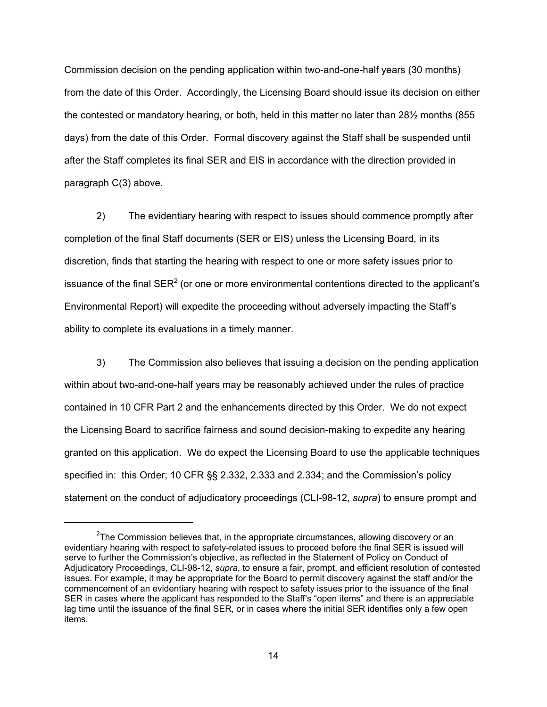Commission decision on the pending application within two-and-one-half years (30 months) from the date of this Order. Accordingly, the Licensing Board should issue its decision on either the contested or mandatory hearing, or both, held in this matter no later than 28½ months (855 days) from the date of this Order. Formal discovery against the Staff shall be suspended until after the Staff completes its final SER and EIS in accordance with the direction provided in paragraph C(3) above.

2) The evidentiary hearing with respect to issues should commence promptly after completion of the final Staff documents (SER or EIS) unless the Licensing Board, in its discretion, finds that starting the hearing with respect to one or more safety issues prior to issuance of the final SER<sup>2</sup> (or one or more environmental contentions directed to the applicant's Environmental Report) will expedite the proceeding without adversely impacting the Staff's ability to complete its evaluations in a timely manner.

3) The Commission also believes that issuing a decision on the pending application within about two-and-one-half years may be reasonably achieved under the rules of practice contained in 10 CFR Part 2 and the enhancements directed by this Order. We do not expect the Licensing Board to sacrifice fairness and sound decision-making to expedite any hearing granted on this application. We do expect the Licensing Board to use the applicable techniques specified in: this Order; 10 CFR §§ 2.332, 2.333 and 2.334; and the Commission's policy statement on the conduct of adjudicatory proceedings (CLI-98-12, *supra*) to ensure prompt and

 $2$ The Commission believes that, in the appropriate circumstances, allowing discovery or an evidentiary hearing with respect to safety-related issues to proceed before the final SER is issued will serve to further the Commission's objective, as reflected in the Statement of Policy on Conduct of Adjudicatory Proceedings, CLI-98-12, *supra*, to ensure a fair, prompt, and efficient resolution of contested issues. For example, it may be appropriate for the Board to permit discovery against the staff and/or the commencement of an evidentiary hearing with respect to safety issues prior to the issuance of the final SER in cases where the applicant has responded to the Staff's "open items" and there is an appreciable lag time until the issuance of the final SER, or in cases where the initial SER identifies only a few open items.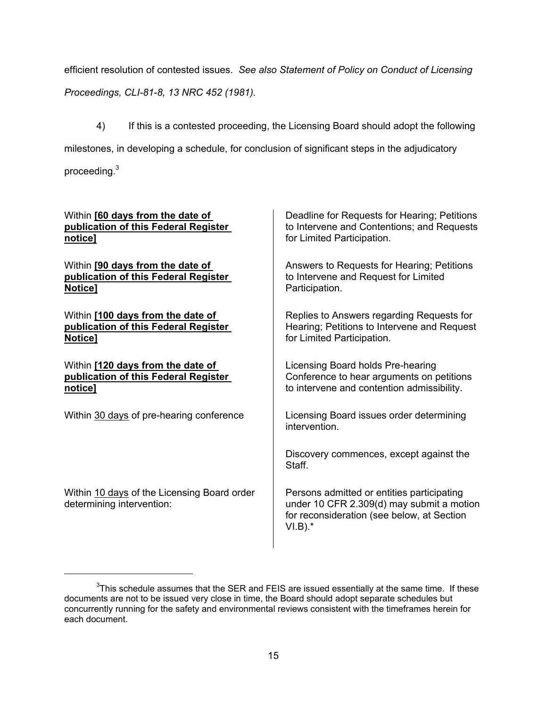efficient resolution of contested issues. *See also Statement of Policy on Conduct of Licensing Proceedings, CLI-81-8, 13 NRC 452 (1981).*

4) If this is a contested proceeding, the Licensing Board should adopt the following milestones, in developing a schedule, for conclusion of significant steps in the adjudicatory proceeding.<sup>3</sup>

| Within [60 days from the date of                                         | Deadline for Requests for Hearing; Petitions                                                                                                        |
|--------------------------------------------------------------------------|-----------------------------------------------------------------------------------------------------------------------------------------------------|
| publication of this Federal Register                                     | to Intervene and Contentions; and Requests                                                                                                          |
| notice]                                                                  | for Limited Participation.                                                                                                                          |
| Within [90 days from the date of                                         | Answers to Requests for Hearing; Petitions                                                                                                          |
| publication of this Federal Register                                     | to Intervene and Request for Limited                                                                                                                |
| Notice]                                                                  | Participation.                                                                                                                                      |
| Within [100 days from the date of                                        | Replies to Answers regarding Requests for                                                                                                           |
| publication of this Federal Register                                     | Hearing; Petitions to Intervene and Request                                                                                                         |
| Notice]                                                                  | for Limited Participation.                                                                                                                          |
| Within [120 days from the date of                                        | Licensing Board holds Pre-hearing                                                                                                                   |
| publication of this Federal Register                                     | Conference to hear arguments on petitions                                                                                                           |
| notice]                                                                  | to intervene and contention admissibility.                                                                                                          |
| Within 30 days of pre-hearing conference                                 | Licensing Board issues order determining<br>intervention.                                                                                           |
|                                                                          | Discovery commences, except against the<br>Staff.                                                                                                   |
| Within 10 days of the Licensing Board order<br>determining intervention: | Persons admitted or entities participating<br>under 10 CFR 2.309(d) may submit a motion<br>for reconsideration (see below, at Section<br>$VI.B$ ).* |

 $3$ This schedule assumes that the SER and FEIS are issued essentially at the same time. If these documents are not to be issued very close in time, the Board should adopt separate schedules but concurrently running for the safety and environmental reviews consistent with the timeframes herein for each document.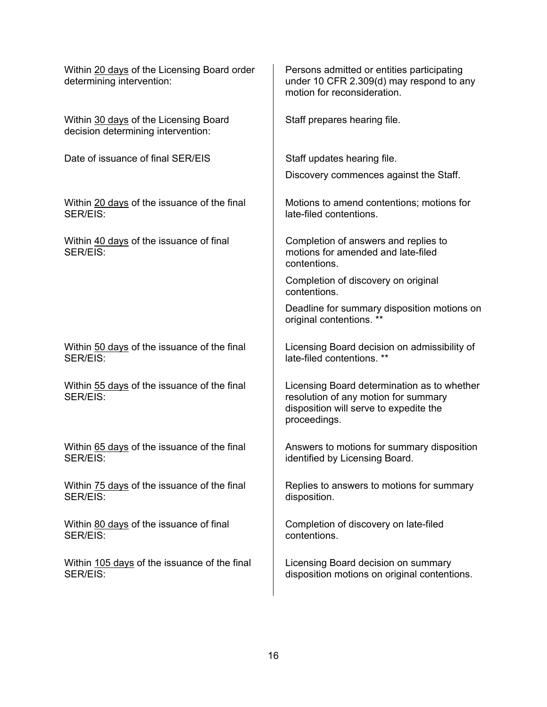| Within 20 days of the Licensing Board order<br>determining intervention:    | Persons admitted or entities participating<br>under 10 CFR 2.309(d) may respond to any<br>motion for reconsideration.                         |
|-----------------------------------------------------------------------------|-----------------------------------------------------------------------------------------------------------------------------------------------|
| Within 30 days of the Licensing Board<br>decision determining intervention: | Staff prepares hearing file.                                                                                                                  |
| Date of issuance of final SER/EIS                                           | Staff updates hearing file.                                                                                                                   |
|                                                                             | Discovery commences against the Staff.                                                                                                        |
| Within 20 days of the issuance of the final<br>SER/EIS:                     | Motions to amend contentions; motions for<br>late-filed contentions.                                                                          |
| Within 40 days of the issuance of final<br>SER/EIS:                         | Completion of answers and replies to<br>motions for amended and late-filed<br>contentions.                                                    |
|                                                                             | Completion of discovery on original<br>contentions.                                                                                           |
|                                                                             | Deadline for summary disposition motions on<br>original contentions. **                                                                       |
| Within 50 days of the issuance of the final<br>SER/EIS:                     | Licensing Board decision on admissibility of<br>late-filed contentions. **                                                                    |
| Within 55 days of the issuance of the final<br>SER/EIS:                     | Licensing Board determination as to whether<br>resolution of any motion for summary<br>disposition will serve to expedite the<br>proceedings. |
| Within 65 days of the issuance of the final<br>SER/EIS:                     | Answers to motions for summary disposition<br>identified by Licensing Board.                                                                  |
| Within 75 days of the issuance of the final<br>SER/EIS:                     | Replies to answers to motions for summary<br>disposition.                                                                                     |
| Within 80 days of the issuance of final<br>SER/EIS:                         | Completion of discovery on late-filed<br>contentions.                                                                                         |
| Within 105 days of the issuance of the final<br>SER/EIS:                    | Licensing Board decision on summary<br>disposition motions on original contentions.                                                           |
|                                                                             |                                                                                                                                               |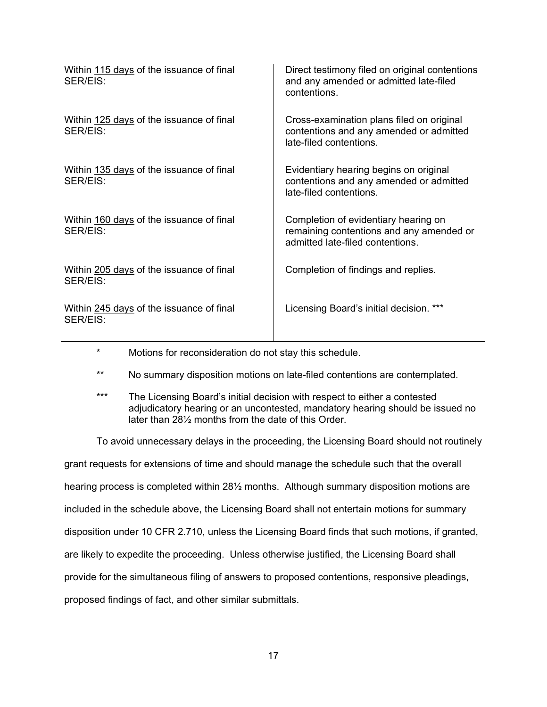| Within 115 days of the issuance of final<br>SER/EIS: | Direct testimony filed on original contentions<br>and any amended or admitted late-filed<br>contentions.             |
|------------------------------------------------------|----------------------------------------------------------------------------------------------------------------------|
| Within 125 days of the issuance of final<br>SER/EIS: | Cross-examination plans filed on original<br>contentions and any amended or admitted<br>late-filed contentions.      |
| Within 135 days of the issuance of final<br>SER/EIS: | Evidentiary hearing begins on original<br>contentions and any amended or admitted<br>late-filed contentions.         |
| Within 160 days of the issuance of final<br>SER/EIS: | Completion of evidentiary hearing on<br>remaining contentions and any amended or<br>admitted late-filed contentions. |
| Within 205 days of the issuance of final<br>SER/EIS: | Completion of findings and replies.                                                                                  |
| Within 245 days of the issuance of final<br>SER/EIS: | Licensing Board's initial decision. ***                                                                              |

- \* Motions for reconsideration do not stay this schedule.
- \*\* No summary disposition motions on late-filed contentions are contemplated.
- \*\*\* The Licensing Board's initial decision with respect to either a contested adjudicatory hearing or an uncontested, mandatory hearing should be issued no later than 28½ months from the date of this Order.

To avoid unnecessary delays in the proceeding, the Licensing Board should not routinely

grant requests for extensions of time and should manage the schedule such that the overall hearing process is completed within 28<sup>1</sup>/<sub>2</sub> months. Although summary disposition motions are included in the schedule above, the Licensing Board shall not entertain motions for summary disposition under 10 CFR 2.710, unless the Licensing Board finds that such motions, if granted, are likely to expedite the proceeding. Unless otherwise justified, the Licensing Board shall provide for the simultaneous filing of answers to proposed contentions, responsive pleadings, proposed findings of fact, and other similar submittals.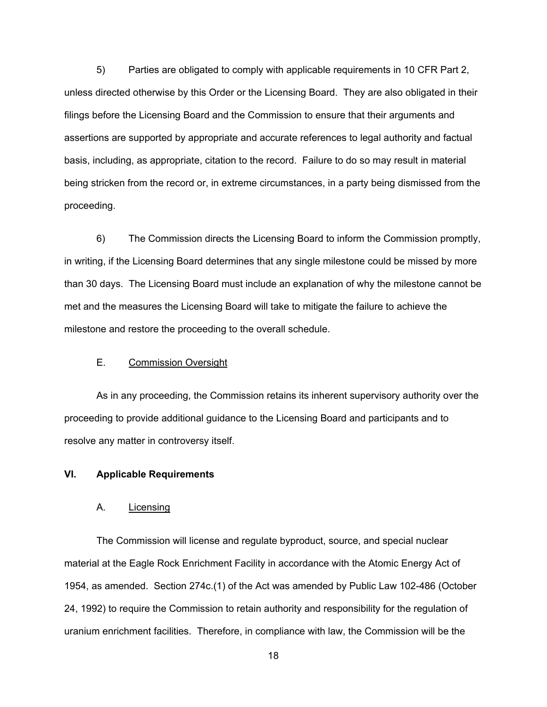5) Parties are obligated to comply with applicable requirements in 10 CFR Part 2, unless directed otherwise by this Order or the Licensing Board. They are also obligated in their filings before the Licensing Board and the Commission to ensure that their arguments and assertions are supported by appropriate and accurate references to legal authority and factual basis, including, as appropriate, citation to the record. Failure to do so may result in material being stricken from the record or, in extreme circumstances, in a party being dismissed from the proceeding.

6) The Commission directs the Licensing Board to inform the Commission promptly, in writing, if the Licensing Board determines that any single milestone could be missed by more than 30 days. The Licensing Board must include an explanation of why the milestone cannot be met and the measures the Licensing Board will take to mitigate the failure to achieve the milestone and restore the proceeding to the overall schedule.

#### E. Commission Oversight

As in any proceeding, the Commission retains its inherent supervisory authority over the proceeding to provide additional guidance to the Licensing Board and participants and to resolve any matter in controversy itself.

# **VI. Applicable Requirements**

#### A. Licensing

The Commission will license and regulate byproduct, source, and special nuclear material at the Eagle Rock Enrichment Facility in accordance with the Atomic Energy Act of 1954, as amended. Section 274c.(1) of the Act was amended by Public Law 102-486 (October 24, 1992) to require the Commission to retain authority and responsibility for the regulation of uranium enrichment facilities. Therefore, in compliance with law, the Commission will be the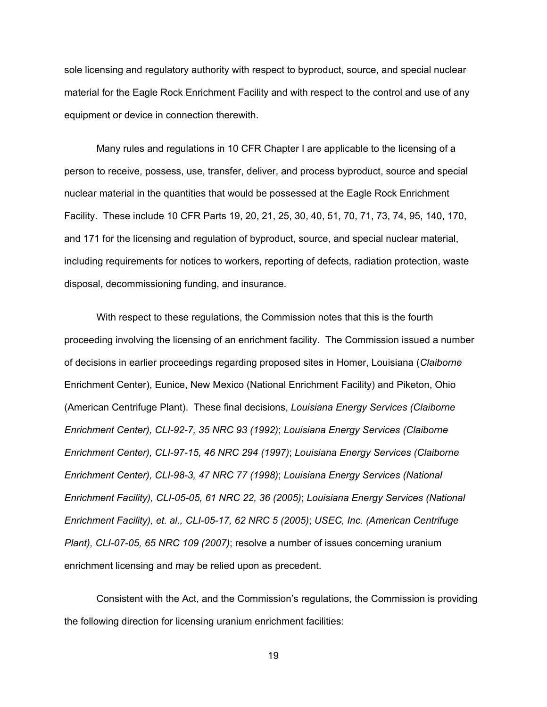sole licensing and regulatory authority with respect to byproduct, source, and special nuclear material for the Eagle Rock Enrichment Facility and with respect to the control and use of any equipment or device in connection therewith.

Many rules and regulations in 10 CFR Chapter I are applicable to the licensing of a person to receive, possess, use, transfer, deliver, and process byproduct, source and special nuclear material in the quantities that would be possessed at the Eagle Rock Enrichment Facility. These include 10 CFR Parts 19, 20, 21, 25, 30, 40, 51, 70, 71, 73, 74, 95, 140, 170, and 171 for the licensing and regulation of byproduct, source, and special nuclear material, including requirements for notices to workers, reporting of defects, radiation protection, waste disposal, decommissioning funding, and insurance.

With respect to these regulations, the Commission notes that this is the fourth proceeding involving the licensing of an enrichment facility. The Commission issued a number of decisions in earlier proceedings regarding proposed sites in Homer, Louisiana (*Claiborne* Enrichment Center), Eunice, New Mexico (National Enrichment Facility) and Piketon, Ohio (American Centrifuge Plant). These final decisions, *Louisiana Energy Services (Claiborne Enrichment Center), CLI-92-7, 35 NRC 93 (1992)*; *Louisiana Energy Services (Claiborne Enrichment Center), CLI-97-15, 46 NRC 294 (1997)*; *Louisiana Energy Services (Claiborne Enrichment Center), CLI-98-3, 47 NRC 77 (1998)*; *Louisiana Energy Services (National Enrichment Facility), CLI-05-05, 61 NRC 22, 36 (2005)*; *Louisiana Energy Services (National Enrichment Facility), et. al., CLI-05-17, 62 NRC 5 (2005)*; *USEC, Inc. (American Centrifuge Plant), CLI-07-05, 65 NRC 109 (2007)*; resolve a number of issues concerning uranium enrichment licensing and may be relied upon as precedent.

Consistent with the Act, and the Commission's regulations, the Commission is providing the following direction for licensing uranium enrichment facilities: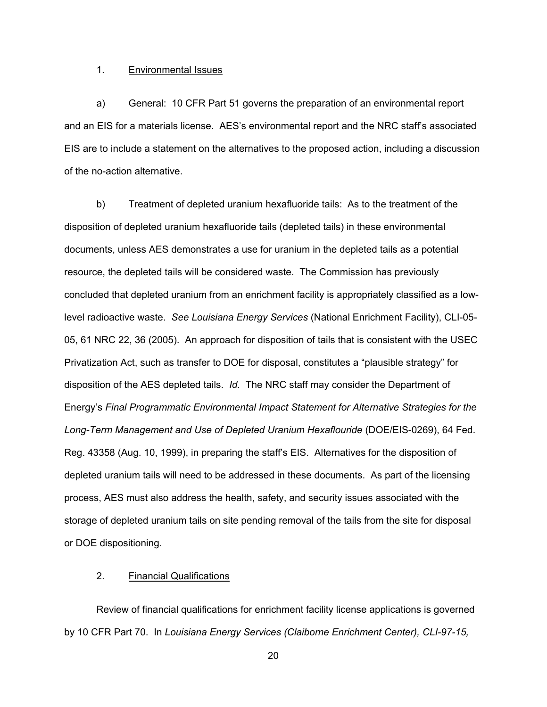#### 1. Environmental Issues

a) General: 10 CFR Part 51 governs the preparation of an environmental report and an EIS for a materials license. AES's environmental report and the NRC staff's associated EIS are to include a statement on the alternatives to the proposed action, including a discussion of the no-action alternative.

b) Treatment of depleted uranium hexafluoride tails: As to the treatment of the disposition of depleted uranium hexafluoride tails (depleted tails) in these environmental documents, unless AES demonstrates a use for uranium in the depleted tails as a potential resource, the depleted tails will be considered waste. The Commission has previously concluded that depleted uranium from an enrichment facility is appropriately classified as a lowlevel radioactive waste. *See Louisiana Energy Services* (National Enrichment Facility), CLI-05- 05, 61 NRC 22, 36 (2005). An approach for disposition of tails that is consistent with the USEC Privatization Act, such as transfer to DOE for disposal, constitutes a "plausible strategy" for disposition of the AES depleted tails. *Id.* The NRC staff may consider the Department of Energy's *Final Programmatic Environmental Impact Statement for Alternative Strategies for the Long-Term Management and Use of Depleted Uranium Hexaflouride* (DOE/EIS-0269), 64 Fed. Reg. 43358 (Aug. 10, 1999), in preparing the staff's EIS. Alternatives for the disposition of depleted uranium tails will need to be addressed in these documents. As part of the licensing process, AES must also address the health, safety, and security issues associated with the storage of depleted uranium tails on site pending removal of the tails from the site for disposal or DOE dispositioning.

## 2. Financial Qualifications

Review of financial qualifications for enrichment facility license applications is governed by 10 CFR Part 70. In *Louisiana Energy Services (Claiborne Enrichment Center), CLI-97-15,*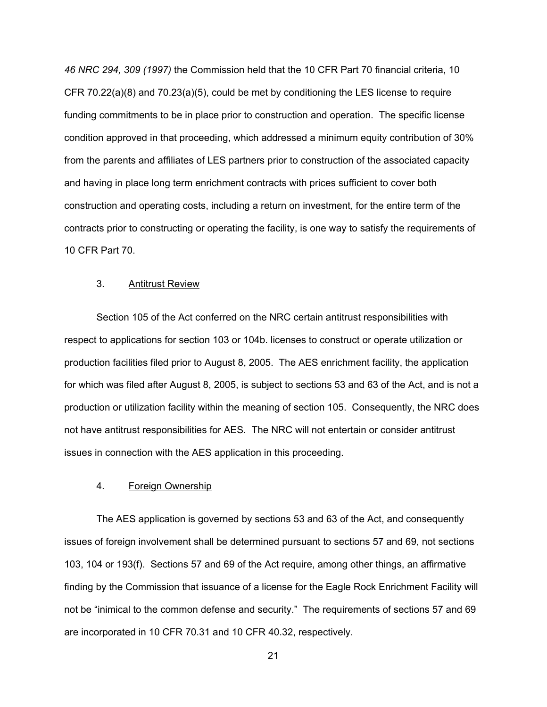*46 NRC 294, 309 (1997)* the Commission held that the 10 CFR Part 70 financial criteria, 10 CFR 70.22(a)(8) and 70.23(a)(5), could be met by conditioning the LES license to require funding commitments to be in place prior to construction and operation. The specific license condition approved in that proceeding, which addressed a minimum equity contribution of 30% from the parents and affiliates of LES partners prior to construction of the associated capacity and having in place long term enrichment contracts with prices sufficient to cover both construction and operating costs, including a return on investment, for the entire term of the contracts prior to constructing or operating the facility, is one way to satisfy the requirements of 10 CFR Part 70.

#### 3. Antitrust Review

Section 105 of the Act conferred on the NRC certain antitrust responsibilities with respect to applications for section 103 or 104b. licenses to construct or operate utilization or production facilities filed prior to August 8, 2005. The AES enrichment facility, the application for which was filed after August 8, 2005, is subject to sections 53 and 63 of the Act, and is not a production or utilization facility within the meaning of section 105. Consequently, the NRC does not have antitrust responsibilities for AES. The NRC will not entertain or consider antitrust issues in connection with the AES application in this proceeding.

# 4. Foreign Ownership

The AES application is governed by sections 53 and 63 of the Act, and consequently issues of foreign involvement shall be determined pursuant to sections 57 and 69, not sections 103, 104 or 193(f). Sections 57 and 69 of the Act require, among other things, an affirmative finding by the Commission that issuance of a license for the Eagle Rock Enrichment Facility will not be "inimical to the common defense and security." The requirements of sections 57 and 69 are incorporated in 10 CFR 70.31 and 10 CFR 40.32, respectively.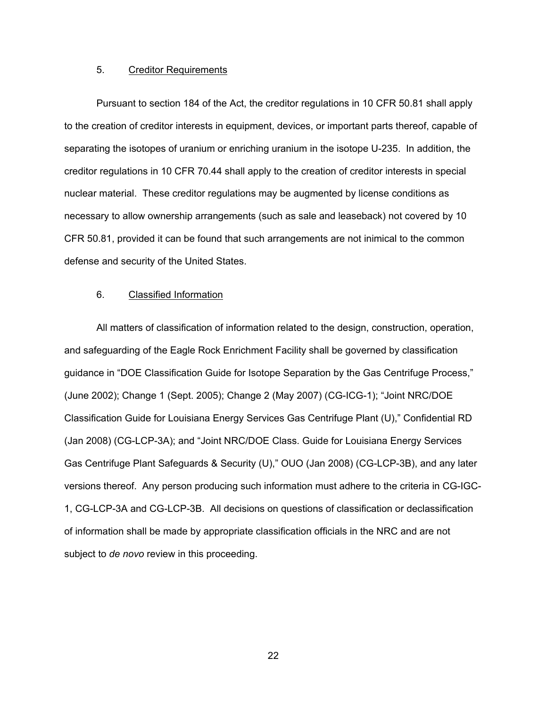#### 5. Creditor Requirements

Pursuant to section 184 of the Act, the creditor regulations in 10 CFR 50.81 shall apply to the creation of creditor interests in equipment, devices, or important parts thereof, capable of separating the isotopes of uranium or enriching uranium in the isotope U-235. In addition, the creditor regulations in 10 CFR 70.44 shall apply to the creation of creditor interests in special nuclear material. These creditor regulations may be augmented by license conditions as necessary to allow ownership arrangements (such as sale and leaseback) not covered by 10 CFR 50.81, provided it can be found that such arrangements are not inimical to the common defense and security of the United States.

## 6. Classified Information

All matters of classification of information related to the design, construction, operation, and safeguarding of the Eagle Rock Enrichment Facility shall be governed by classification guidance in "DOE Classification Guide for Isotope Separation by the Gas Centrifuge Process," (June 2002); Change 1 (Sept. 2005); Change 2 (May 2007) (CG-ICG-1); "Joint NRC/DOE Classification Guide for Louisiana Energy Services Gas Centrifuge Plant (U)," Confidential RD (Jan 2008) (CG-LCP-3A); and "Joint NRC/DOE Class. Guide for Louisiana Energy Services Gas Centrifuge Plant Safeguards & Security (U)," OUO (Jan 2008) (CG-LCP-3B), and any later versions thereof. Any person producing such information must adhere to the criteria in CG-IGC-1, CG-LCP-3A and CG-LCP-3B. All decisions on questions of classification or declassification of information shall be made by appropriate classification officials in the NRC and are not subject to *de novo* review in this proceeding.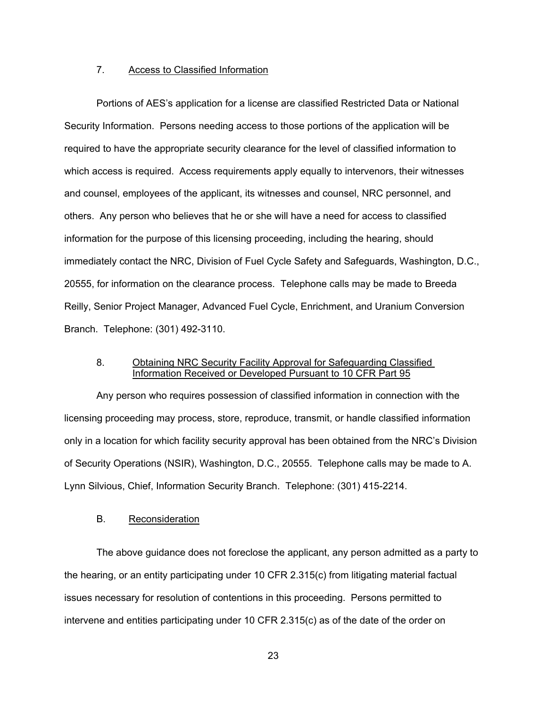#### 7. Access to Classified Information

Portions of AES's application for a license are classified Restricted Data or National Security Information. Persons needing access to those portions of the application will be required to have the appropriate security clearance for the level of classified information to which access is required. Access requirements apply equally to intervenors, their witnesses and counsel, employees of the applicant, its witnesses and counsel, NRC personnel, and others. Any person who believes that he or she will have a need for access to classified information for the purpose of this licensing proceeding, including the hearing, should immediately contact the NRC, Division of Fuel Cycle Safety and Safeguards, Washington, D.C., 20555, for information on the clearance process. Telephone calls may be made to Breeda Reilly, Senior Project Manager, Advanced Fuel Cycle, Enrichment, and Uranium Conversion Branch. Telephone: (301) 492-3110.

## 8. Obtaining NRC Security Facility Approval for Safeguarding Classified Information Received or Developed Pursuant to 10 CFR Part 95

Any person who requires possession of classified information in connection with the licensing proceeding may process, store, reproduce, transmit, or handle classified information only in a location for which facility security approval has been obtained from the NRC's Division of Security Operations (NSIR), Washington, D.C., 20555. Telephone calls may be made to A. Lynn Silvious, Chief, Information Security Branch. Telephone: (301) 415-2214.

#### B. Reconsideration

The above guidance does not foreclose the applicant, any person admitted as a party to the hearing, or an entity participating under 10 CFR 2.315(c) from litigating material factual issues necessary for resolution of contentions in this proceeding. Persons permitted to intervene and entities participating under 10 CFR 2.315(c) as of the date of the order on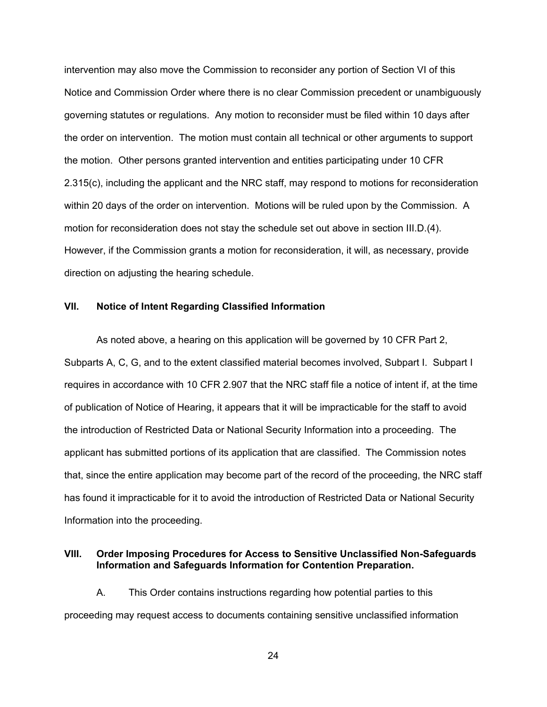intervention may also move the Commission to reconsider any portion of Section VI of this Notice and Commission Order where there is no clear Commission precedent or unambiguously governing statutes or regulations. Any motion to reconsider must be filed within 10 days after the order on intervention. The motion must contain all technical or other arguments to support the motion. Other persons granted intervention and entities participating under 10 CFR 2.315(c), including the applicant and the NRC staff, may respond to motions for reconsideration within 20 days of the order on intervention. Motions will be ruled upon by the Commission. A motion for reconsideration does not stay the schedule set out above in section III.D.(4). However, if the Commission grants a motion for reconsideration, it will, as necessary, provide direction on adjusting the hearing schedule.

#### **VII. Notice of Intent Regarding Classified Information**

As noted above, a hearing on this application will be governed by 10 CFR Part 2, Subparts A, C, G, and to the extent classified material becomes involved, Subpart I. Subpart I requires in accordance with 10 CFR 2.907 that the NRC staff file a notice of intent if, at the time of publication of Notice of Hearing, it appears that it will be impracticable for the staff to avoid the introduction of Restricted Data or National Security Information into a proceeding. The applicant has submitted portions of its application that are classified. The Commission notes that, since the entire application may become part of the record of the proceeding, the NRC staff has found it impracticable for it to avoid the introduction of Restricted Data or National Security Information into the proceeding.

# **VIII. Order Imposing Procedures for Access to Sensitive Unclassified Non-Safeguards Information and Safeguards Information for Contention Preparation.**

A. This Order contains instructions regarding how potential parties to this proceeding may request access to documents containing sensitive unclassified information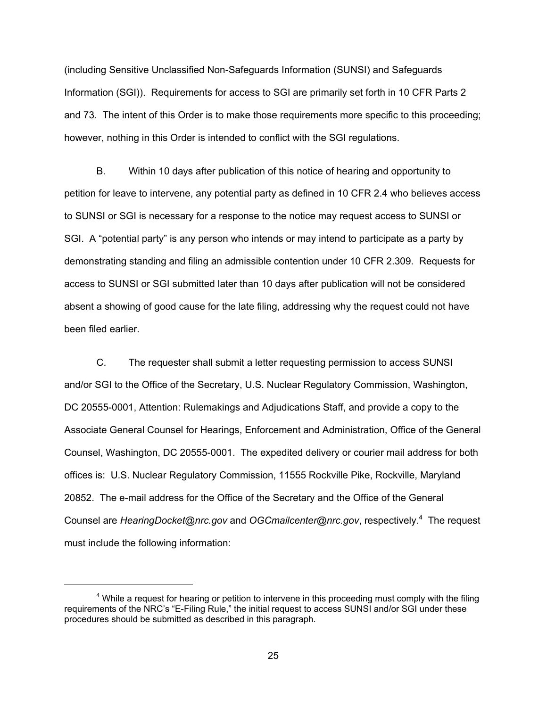(including Sensitive Unclassified Non-Safeguards Information (SUNSI) and Safeguards Information (SGI)). Requirements for access to SGI are primarily set forth in 10 CFR Parts 2 and 73. The intent of this Order is to make those requirements more specific to this proceeding; however, nothing in this Order is intended to conflict with the SGI regulations.

B. Within 10 days after publication of this notice of hearing and opportunity to petition for leave to intervene, any potential party as defined in 10 CFR 2.4 who believes access to SUNSI or SGI is necessary for a response to the notice may request access to SUNSI or SGI. A "potential party" is any person who intends or may intend to participate as a party by demonstrating standing and filing an admissible contention under 10 CFR 2.309. Requests for access to SUNSI or SGI submitted later than 10 days after publication will not be considered absent a showing of good cause for the late filing, addressing why the request could not have been filed earlier.

C. The requester shall submit a letter requesting permission to access SUNSI and/or SGI to the Office of the Secretary, U.S. Nuclear Regulatory Commission, Washington, DC 20555-0001, Attention: Rulemakings and Adjudications Staff, and provide a copy to the Associate General Counsel for Hearings, Enforcement and Administration, Office of the General Counsel, Washington, DC 20555-0001. The expedited delivery or courier mail address for both offices is: U.S. Nuclear Regulatory Commission, 11555 Rockville Pike, Rockville, Maryland 20852. The e-mail address for the Office of the Secretary and the Office of the General Counsel are HearingDocket@nrc.gov and OGCmailcenter@nrc.gov, respectively.<sup>4</sup> The request must include the following information:

 $4$  While a request for hearing or petition to intervene in this proceeding must comply with the filing requirements of the NRC's "E-Filing Rule," the initial request to access SUNSI and/or SGI under these procedures should be submitted as described in this paragraph.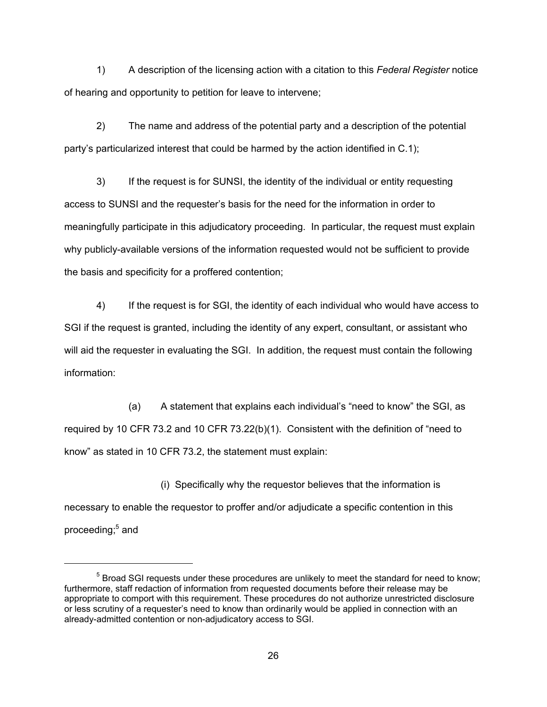1) A description of the licensing action with a citation to this *Federal Register* notice of hearing and opportunity to petition for leave to intervene;

2) The name and address of the potential party and a description of the potential party's particularized interest that could be harmed by the action identified in C.1);

3) If the request is for SUNSI, the identity of the individual or entity requesting access to SUNSI and the requester's basis for the need for the information in order to meaningfully participate in this adjudicatory proceeding. In particular, the request must explain why publicly-available versions of the information requested would not be sufficient to provide the basis and specificity for a proffered contention;

4) If the request is for SGI, the identity of each individual who would have access to SGI if the request is granted, including the identity of any expert, consultant, or assistant who will aid the requester in evaluating the SGI. In addition, the request must contain the following information:

 (a) A statement that explains each individual's "need to know" the SGI, as required by 10 CFR 73.2 and 10 CFR 73.22(b)(1). Consistent with the definition of "need to know" as stated in 10 CFR 73.2, the statement must explain:

 (i) Specifically why the requestor believes that the information is necessary to enable the requestor to proffer and/or adjudicate a specific contention in this proceeding;<sup>5</sup> and

 $<sup>5</sup>$  Broad SGI requests under these procedures are unlikely to meet the standard for need to know;</sup> furthermore, staff redaction of information from requested documents before their release may be appropriate to comport with this requirement. These procedures do not authorize unrestricted disclosure or less scrutiny of a requester's need to know than ordinarily would be applied in connection with an already-admitted contention or non-adjudicatory access to SGI.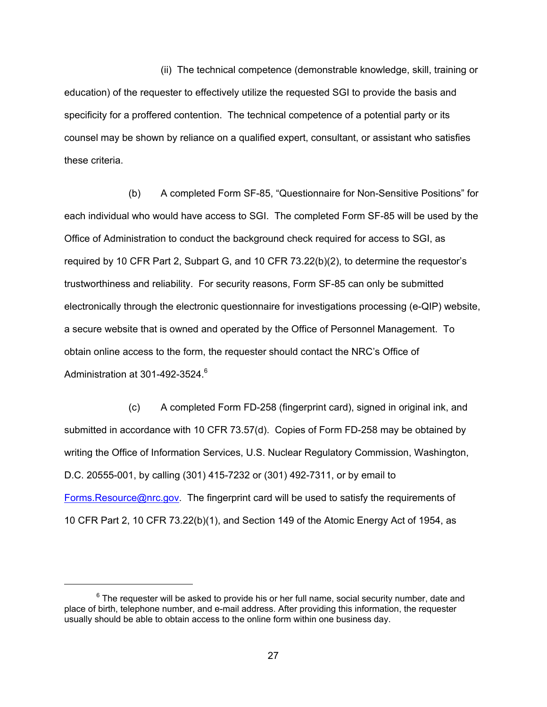(ii) The technical competence (demonstrable knowledge, skill, training or education) of the requester to effectively utilize the requested SGI to provide the basis and specificity for a proffered contention. The technical competence of a potential party or its counsel may be shown by reliance on a qualified expert, consultant, or assistant who satisfies these criteria.

 (b) A completed Form SF-85, "Questionnaire for Non-Sensitive Positions" for each individual who would have access to SGI. The completed Form SF-85 will be used by the Office of Administration to conduct the background check required for access to SGI, as required by 10 CFR Part 2, Subpart G, and 10 CFR 73.22(b)(2), to determine the requestor's trustworthiness and reliability. For security reasons, Form SF-85 can only be submitted electronically through the electronic questionnaire for investigations processing (e-QIP) website, a secure website that is owned and operated by the Office of Personnel Management. To obtain online access to the form, the requester should contact the NRC's Office of Administration at 301-492-3524.<sup>6</sup>

 (c) A completed Form FD-258 (fingerprint card), signed in original ink, and submitted in accordance with 10 CFR 73.57(d). Copies of Form FD-258 may be obtained by writing the Office of Information Services, U.S. Nuclear Regulatory Commission, Washington, D.C. 20555-001, by calling (301) 415-7232 or (301) 492-7311, or by email to Forms.Resource@nrc.gov. The fingerprint card will be used to satisfy the requirements of 10 CFR Part 2, 10 CFR 73.22(b)(1), and Section 149 of the Atomic Energy Act of 1954, as

 $6$  The requester will be asked to provide his or her full name, social security number, date and place of birth, telephone number, and e-mail address. After providing this information, the requester usually should be able to obtain access to the online form within one business day.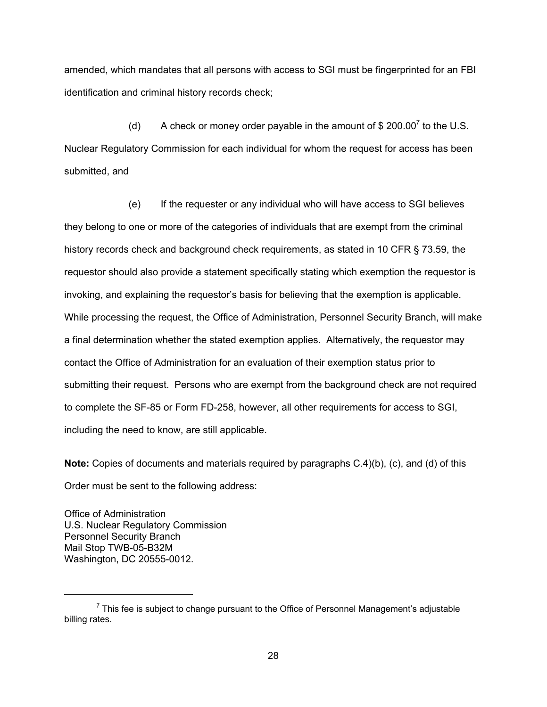amended, which mandates that all persons with access to SGI must be fingerprinted for an FBI identification and criminal history records check;

(d) A check or money order payable in the amount of \$ 200.00<sup>7</sup> to the U.S. Nuclear Regulatory Commission for each individual for whom the request for access has been submitted, and

 (e) If the requester or any individual who will have access to SGI believes they belong to one or more of the categories of individuals that are exempt from the criminal history records check and background check requirements, as stated in 10 CFR § 73.59, the requestor should also provide a statement specifically stating which exemption the requestor is invoking, and explaining the requestor's basis for believing that the exemption is applicable. While processing the request, the Office of Administration, Personnel Security Branch, will make a final determination whether the stated exemption applies. Alternatively, the requestor may contact the Office of Administration for an evaluation of their exemption status prior to submitting their request. Persons who are exempt from the background check are not required to complete the SF-85 or Form FD-258, however, all other requirements for access to SGI, including the need to know, are still applicable.

**Note:** Copies of documents and materials required by paragraphs C.4)(b), (c), and (d) of this Order must be sent to the following address:

Office of Administration U.S. Nuclear Regulatory Commission Personnel Security Branch Mail Stop TWB-05-B32M Washington, DC 20555-0012.

 $<sup>7</sup>$  This fee is subject to change pursuant to the Office of Personnel Management's adjustable</sup> billing rates.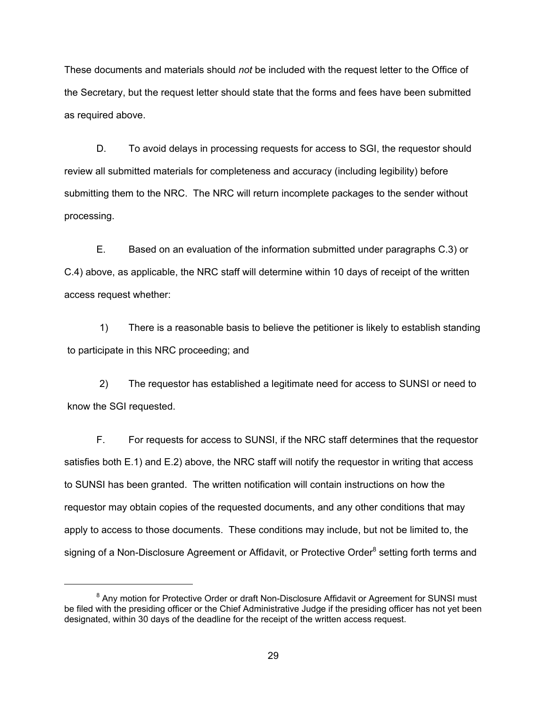These documents and materials should *not* be included with the request letter to the Office of the Secretary, but the request letter should state that the forms and fees have been submitted as required above.

D. To avoid delays in processing requests for access to SGI, the requestor should review all submitted materials for completeness and accuracy (including legibility) before submitting them to the NRC. The NRC will return incomplete packages to the sender without processing.

E. Based on an evaluation of the information submitted under paragraphs C.3) or C.4) above, as applicable, the NRC staff will determine within 10 days of receipt of the written access request whether:

1) There is a reasonable basis to believe the petitioner is likely to establish standing to participate in this NRC proceeding; and

2) The requestor has established a legitimate need for access to SUNSI or need to know the SGI requested.

F. For requests for access to SUNSI, if the NRC staff determines that the requestor satisfies both E.1) and E.2) above, the NRC staff will notify the requestor in writing that access to SUNSI has been granted. The written notification will contain instructions on how the requestor may obtain copies of the requested documents, and any other conditions that may apply to access to those documents. These conditions may include, but not be limited to, the signing of a Non-Disclosure Agreement or Affidavit, or Protective Order<sup>8</sup> setting forth terms and

<sup>&</sup>lt;sup>8</sup> Any motion for Protective Order or draft Non-Disclosure Affidavit or Agreement for SUNSI must be filed with the presiding officer or the Chief Administrative Judge if the presiding officer has not yet been designated, within 30 days of the deadline for the receipt of the written access request.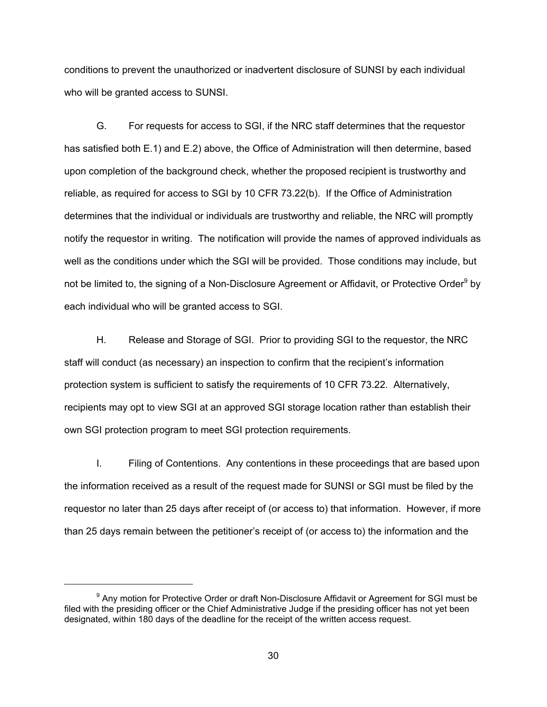conditions to prevent the unauthorized or inadvertent disclosure of SUNSI by each individual who will be granted access to SUNSI.

G. For requests for access to SGI, if the NRC staff determines that the requestor has satisfied both E.1) and E.2) above, the Office of Administration will then determine, based upon completion of the background check, whether the proposed recipient is trustworthy and reliable, as required for access to SGI by 10 CFR 73.22(b). If the Office of Administration determines that the individual or individuals are trustworthy and reliable, the NRC will promptly notify the requestor in writing. The notification will provide the names of approved individuals as well as the conditions under which the SGI will be provided. Those conditions may include, but not be limited to, the signing of a Non-Disclosure Agreement or Affidavit, or Protective Order<sup>9</sup> by each individual who will be granted access to SGI.

H. Release and Storage of SGI. Prior to providing SGI to the requestor, the NRC staff will conduct (as necessary) an inspection to confirm that the recipient's information protection system is sufficient to satisfy the requirements of 10 CFR 73.22. Alternatively, recipients may opt to view SGI at an approved SGI storage location rather than establish their own SGI protection program to meet SGI protection requirements.

I. Filing of Contentions. Any contentions in these proceedings that are based upon the information received as a result of the request made for SUNSI or SGI must be filed by the requestor no later than 25 days after receipt of (or access to) that information. However, if more than 25 days remain between the petitioner's receipt of (or access to) the information and the

<sup>&</sup>lt;sup>9</sup> Any motion for Protective Order or draft Non-Disclosure Affidavit or Agreement for SGI must be filed with the presiding officer or the Chief Administrative Judge if the presiding officer has not yet been designated, within 180 days of the deadline for the receipt of the written access request.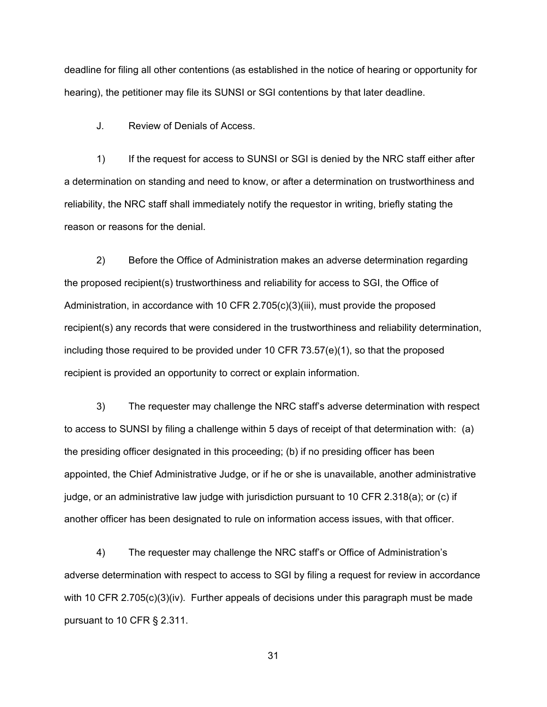deadline for filing all other contentions (as established in the notice of hearing or opportunity for hearing), the petitioner may file its SUNSI or SGI contentions by that later deadline.

J. Review of Denials of Access.

1) If the request for access to SUNSI or SGI is denied by the NRC staff either after a determination on standing and need to know, or after a determination on trustworthiness and reliability, the NRC staff shall immediately notify the requestor in writing, briefly stating the reason or reasons for the denial.

2) Before the Office of Administration makes an adverse determination regarding the proposed recipient(s) trustworthiness and reliability for access to SGI, the Office of Administration, in accordance with 10 CFR 2.705(c)(3)(iii), must provide the proposed recipient(s) any records that were considered in the trustworthiness and reliability determination, including those required to be provided under 10 CFR  $73.57(e)(1)$ , so that the proposed recipient is provided an opportunity to correct or explain information.

3) The requester may challenge the NRC staff's adverse determination with respect to access to SUNSI by filing a challenge within 5 days of receipt of that determination with: (a) the presiding officer designated in this proceeding; (b) if no presiding officer has been appointed, the Chief Administrative Judge, or if he or she is unavailable, another administrative judge, or an administrative law judge with jurisdiction pursuant to 10 CFR 2.318(a); or (c) if another officer has been designated to rule on information access issues, with that officer.

4) The requester may challenge the NRC staff's or Office of Administration's adverse determination with respect to access to SGI by filing a request for review in accordance with 10 CFR  $2.705(c)(3)(iv)$ . Further appeals of decisions under this paragraph must be made pursuant to 10 CFR § 2.311.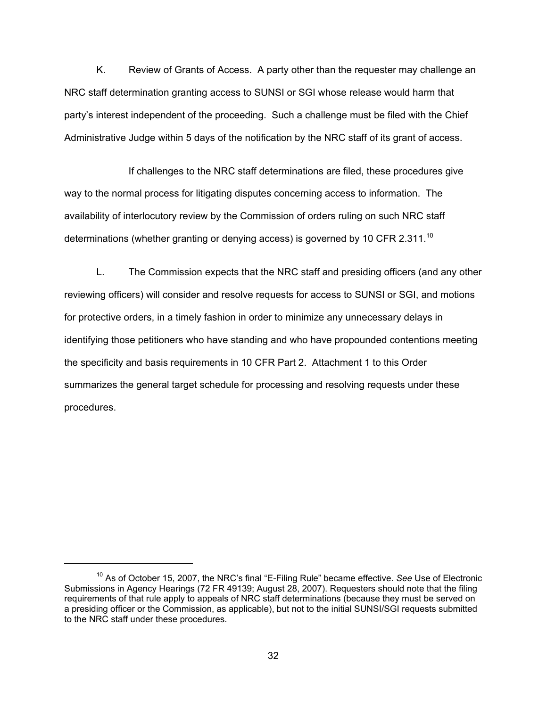K. Review of Grants of Access. A party other than the requester may challenge an NRC staff determination granting access to SUNSI or SGI whose release would harm that party's interest independent of the proceeding. Such a challenge must be filed with the Chief Administrative Judge within 5 days of the notification by the NRC staff of its grant of access.

 If challenges to the NRC staff determinations are filed, these procedures give way to the normal process for litigating disputes concerning access to information. The availability of interlocutory review by the Commission of orders ruling on such NRC staff determinations (whether granting or denying access) is governed by 10 CFR 2.311.<sup>10</sup>

L. The Commission expects that the NRC staff and presiding officers (and any other reviewing officers) will consider and resolve requests for access to SUNSI or SGI, and motions for protective orders, in a timely fashion in order to minimize any unnecessary delays in identifying those petitioners who have standing and who have propounded contentions meeting the specificity and basis requirements in 10 CFR Part 2. Attachment 1 to this Order summarizes the general target schedule for processing and resolving requests under these procedures.

<sup>10</sup> As of October 15, 2007, the NRC's final "E-Filing Rule" became effective. *See* Use of Electronic Submissions in Agency Hearings (72 FR 49139; August 28, 2007). Requesters should note that the filing requirements of that rule apply to appeals of NRC staff determinations (because they must be served on a presiding officer or the Commission, as applicable), but not to the initial SUNSI/SGI requests submitted to the NRC staff under these procedures.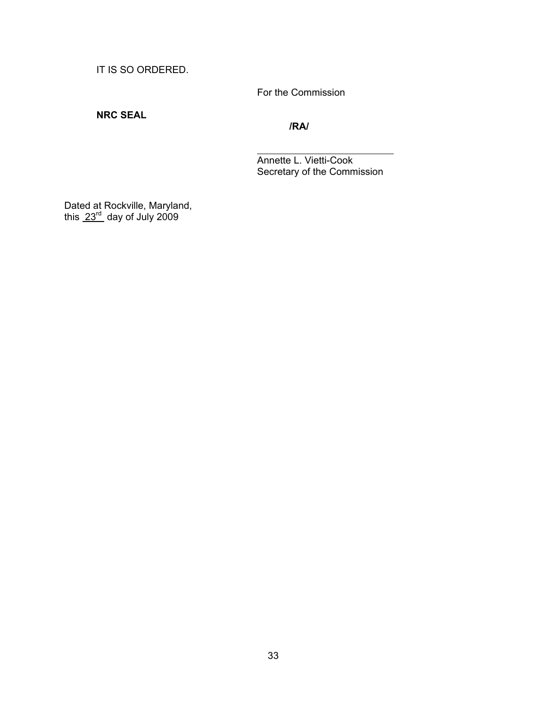IT IS SO ORDERED.

For the Commission

# **NRC SEAL**

**/RA/** 

 Annette L. Vietti-Cook Secretary of the Commission

Dated at Rockville, Maryland, this  $23^{\text{rd}}$  day of July 2009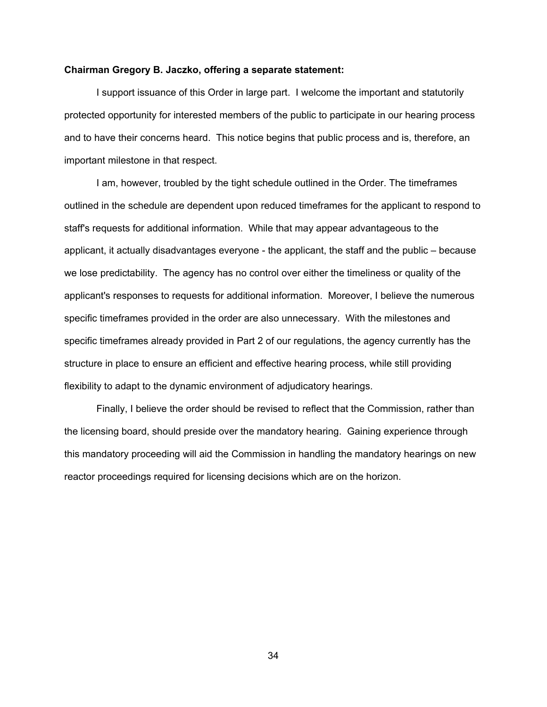#### **Chairman Gregory B. Jaczko, offering a separate statement:**

I support issuance of this Order in large part. I welcome the important and statutorily protected opportunity for interested members of the public to participate in our hearing process and to have their concerns heard. This notice begins that public process and is, therefore, an important milestone in that respect.

I am, however, troubled by the tight schedule outlined in the Order. The timeframes outlined in the schedule are dependent upon reduced timeframes for the applicant to respond to staff's requests for additional information. While that may appear advantageous to the applicant, it actually disadvantages everyone - the applicant, the staff and the public – because we lose predictability. The agency has no control over either the timeliness or quality of the applicant's responses to requests for additional information. Moreover, I believe the numerous specific timeframes provided in the order are also unnecessary. With the milestones and specific timeframes already provided in Part 2 of our regulations, the agency currently has the structure in place to ensure an efficient and effective hearing process, while still providing flexibility to adapt to the dynamic environment of adjudicatory hearings.

 Finally, I believe the order should be revised to reflect that the Commission, rather than the licensing board, should preside over the mandatory hearing. Gaining experience through this mandatory proceeding will aid the Commission in handling the mandatory hearings on new reactor proceedings required for licensing decisions which are on the horizon.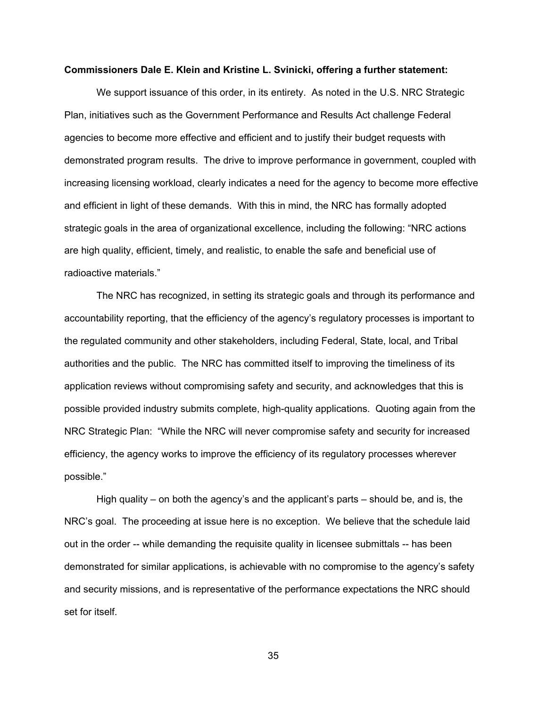#### **Commissioners Dale E. Klein and Kristine L. Svinicki, offering a further statement:**

We support issuance of this order, in its entirety. As noted in the U.S. NRC Strategic Plan, initiatives such as the Government Performance and Results Act challenge Federal agencies to become more effective and efficient and to justify their budget requests with demonstrated program results. The drive to improve performance in government, coupled with increasing licensing workload, clearly indicates a need for the agency to become more effective and efficient in light of these demands. With this in mind, the NRC has formally adopted strategic goals in the area of organizational excellence, including the following: "NRC actions are high quality, efficient, timely, and realistic, to enable the safe and beneficial use of radioactive materials."

The NRC has recognized, in setting its strategic goals and through its performance and accountability reporting, that the efficiency of the agency's regulatory processes is important to the regulated community and other stakeholders, including Federal, State, local, and Tribal authorities and the public. The NRC has committed itself to improving the timeliness of its application reviews without compromising safety and security, and acknowledges that this is possible provided industry submits complete, high-quality applications. Quoting again from the NRC Strategic Plan: "While the NRC will never compromise safety and security for increased efficiency, the agency works to improve the efficiency of its regulatory processes wherever possible."

High quality – on both the agency's and the applicant's parts – should be, and is, the NRC's goal. The proceeding at issue here is no exception. We believe that the schedule laid out in the order -- while demanding the requisite quality in licensee submittals -- has been demonstrated for similar applications, is achievable with no compromise to the agency's safety and security missions, and is representative of the performance expectations the NRC should set for itself.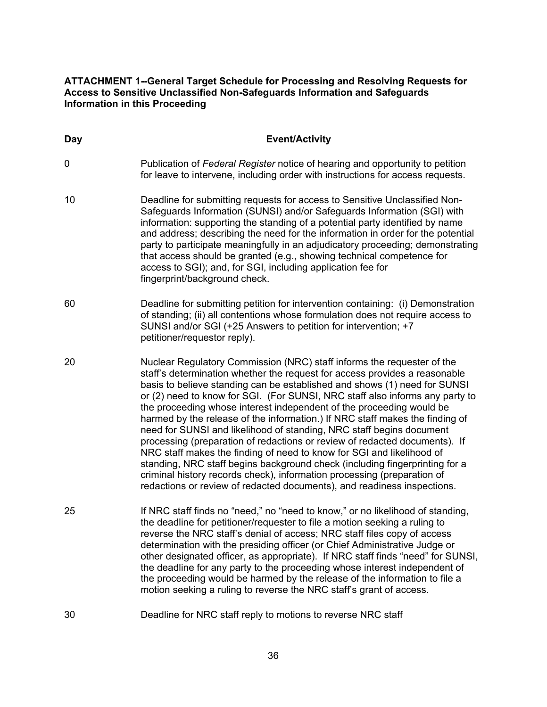# **ATTACHMENT 1--General Target Schedule for Processing and Resolving Requests for Access to Sensitive Unclassified Non-Safeguards Information and Safeguards Information in this Proceeding**

| <b>Day</b> | <b>Event/Activity</b>                                                                                                                                                                                                                                                                                                                                                                                                                                                                                                                                                                                                                                                                                                                                                                                                                                                                                                                         |
|------------|-----------------------------------------------------------------------------------------------------------------------------------------------------------------------------------------------------------------------------------------------------------------------------------------------------------------------------------------------------------------------------------------------------------------------------------------------------------------------------------------------------------------------------------------------------------------------------------------------------------------------------------------------------------------------------------------------------------------------------------------------------------------------------------------------------------------------------------------------------------------------------------------------------------------------------------------------|
| 0          | Publication of Federal Register notice of hearing and opportunity to petition<br>for leave to intervene, including order with instructions for access requests.                                                                                                                                                                                                                                                                                                                                                                                                                                                                                                                                                                                                                                                                                                                                                                               |
| 10         | Deadline for submitting requests for access to Sensitive Unclassified Non-<br>Safeguards Information (SUNSI) and/or Safeguards Information (SGI) with<br>information: supporting the standing of a potential party identified by name<br>and address; describing the need for the information in order for the potential<br>party to participate meaningfully in an adjudicatory proceeding; demonstrating<br>that access should be granted (e.g., showing technical competence for<br>access to SGI); and, for SGI, including application fee for<br>fingerprint/background check.                                                                                                                                                                                                                                                                                                                                                           |
| 60         | Deadline for submitting petition for intervention containing: (i) Demonstration<br>of standing; (ii) all contentions whose formulation does not require access to<br>SUNSI and/or SGI (+25 Answers to petition for intervention; +7<br>petitioner/requestor reply).                                                                                                                                                                                                                                                                                                                                                                                                                                                                                                                                                                                                                                                                           |
| 20         | Nuclear Regulatory Commission (NRC) staff informs the requester of the<br>staff's determination whether the request for access provides a reasonable<br>basis to believe standing can be established and shows (1) need for SUNSI<br>or (2) need to know for SGI. (For SUNSI, NRC staff also informs any party to<br>the proceeding whose interest independent of the proceeding would be<br>harmed by the release of the information.) If NRC staff makes the finding of<br>need for SUNSI and likelihood of standing, NRC staff begins document<br>processing (preparation of redactions or review of redacted documents). If<br>NRC staff makes the finding of need to know for SGI and likelihood of<br>standing, NRC staff begins background check (including fingerprinting for a<br>criminal history records check), information processing (preparation of<br>redactions or review of redacted documents), and readiness inspections. |
| 25         | If NRC staff finds no "need," no "need to know," or no likelihood of standing,<br>the deadline for petitioner/requester to file a motion seeking a ruling to<br>reverse the NRC staff's denial of access; NRC staff files copy of access<br>determination with the presiding officer (or Chief Administrative Judge or<br>other designated officer, as appropriate). If NRC staff finds "need" for SUNSI,<br>the deadline for any party to the proceeding whose interest independent of<br>the proceeding would be harmed by the release of the information to file a<br>motion seeking a ruling to reverse the NRC staff's grant of access.                                                                                                                                                                                                                                                                                                  |
| 30         | Deadline for NRC staff reply to motions to reverse NRC staff                                                                                                                                                                                                                                                                                                                                                                                                                                                                                                                                                                                                                                                                                                                                                                                                                                                                                  |